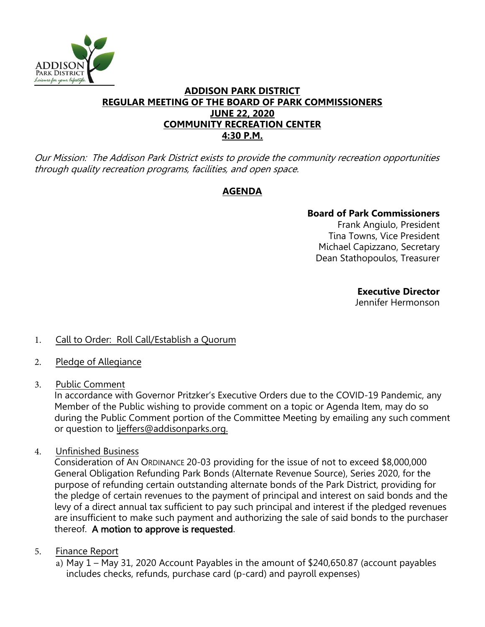

#### **ADDISON PARK DISTRICT REGULAR MEETING OF THE BOARD OF PARK COMMISSIONERS JUNE 22, 2020 COMMUNITY RECREATION CENTER 4:30 P.M.**

Our Mission: The Addison Park District exists to provide the community recreation opportunities through quality recreation programs, facilities, and open space.

# **AGENDA**

## **Board of Park Commissioners**

Frank Angiulo, President Tina Towns, Vice President Michael Capizzano, Secretary Dean Stathopoulos, Treasurer

**Executive Director** 

Jennifer Hermonson

- 1. Call to Order: Roll Call/Establish a Quorum
- 2. Pledge of Allegiance
- 3. Public Comment

In accordance with Governor Pritzker's Executive Orders due to the COVID-19 Pandemic, any Member of the Public wishing to provide comment on a topic or Agenda Item, may do so during the Public Comment portion of the Committee Meeting by emailing any such comment or question to ljeffers@addisonparks.org.

4. Unfinished Business

Consideration of AN ORDINANCE 20-03 providing for the issue of not to exceed \$8,000,000 General Obligation Refunding Park Bonds (Alternate Revenue Source), Series 2020, for the purpose of refunding certain outstanding alternate bonds of the Park District, providing for the pledge of certain revenues to the payment of principal and interest on said bonds and the levy of a direct annual tax sufficient to pay such principal and interest if the pledged revenues are insufficient to make such payment and authorizing the sale of said bonds to the purchaser thereof. A motion to approve is requested.

## 5. Finance Report

a) May 1 – May 31, 2020 Account Payables in the amount of \$240,650.87 (account payables includes checks, refunds, purchase card (p-card) and payroll expenses)